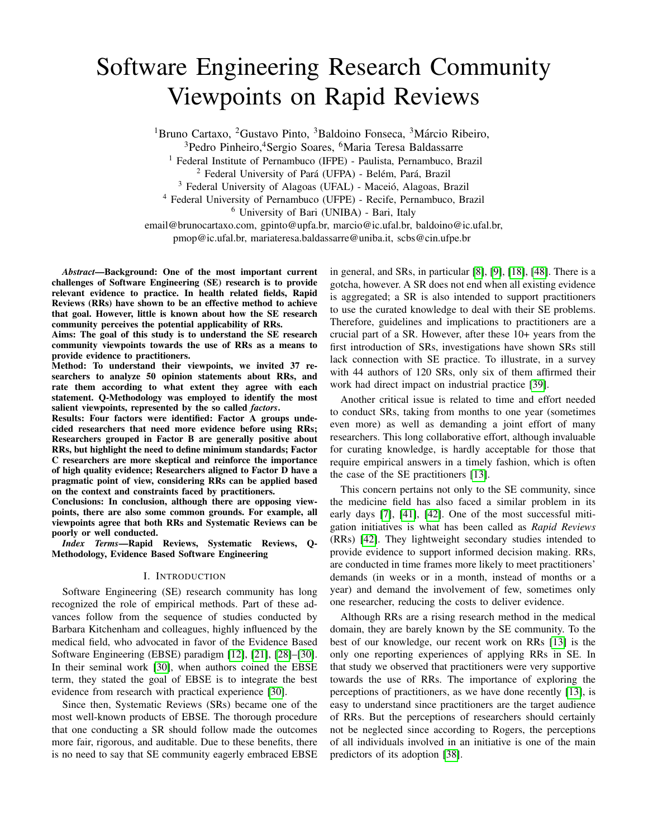# Software Engineering Research Community Viewpoints on Rapid Reviews

<sup>1</sup>Bruno Cartaxo, <sup>2</sup>Gustavo Pinto, <sup>3</sup>Baldoino Fonseca, <sup>3</sup>Márcio Ribeiro,

<sup>3</sup>Pedro Pinheiro,<sup>4</sup>Sergio Soares, <sup>6</sup>Maria Teresa Baldassarre

<sup>1</sup> Federal Institute of Pernambuco (IFPE) - Paulista, Pernambuco, Brazil

 $2$  Federal University of Pará (UFPA) - Belém, Pará, Brazil

<sup>3</sup> Federal University of Alagoas (UFAL) - Maceió, Alagoas, Brazil

<sup>4</sup> Federal University of Pernambuco (UFPE) - Recife, Pernambuco, Brazil

<sup>6</sup> University of Bari (UNIBA) - Bari, Italy

email@brunocartaxo.com, gpinto@upfa.br, marcio@ic.ufal.br, baldoino@ic.ufal.br, pmop@ic.ufal.br, mariateresa.baldassarre@uniba.it, scbs@cin.ufpe.br

*Abstract*—Background: One of the most important current challenges of Software Engineering (SE) research is to provide relevant evidence to practice. In health related fields, Rapid Reviews (RRs) have shown to be an effective method to achieve that goal. However, little is known about how the SE research community perceives the potential applicability of RRs.

Aims: The goal of this study is to understand the SE research community viewpoints towards the use of RRs as a means to provide evidence to practitioners.

Method: To understand their viewpoints, we invited 37 researchers to analyze 50 opinion statements about RRs, and rate them according to what extent they agree with each statement. Q-Methodology was employed to identify the most salient viewpoints, represented by the so called *factors*.

Results: Four factors were identified: Factor A groups undecided researchers that need more evidence before using RRs; Researchers grouped in Factor B are generally positive about RRs, but highlight the need to define minimum standards; Factor C researchers are more skeptical and reinforce the importance of high quality evidence; Researchers aligned to Factor D have a pragmatic point of view, considering RRs can be applied based on the context and constraints faced by practitioners.

Conclusions: In conclusion, although there are opposing viewpoints, there are also some common grounds. For example, all viewpoints agree that both RRs and Systematic Reviews can be poorly or well conducted.

*Index Terms*—Rapid Reviews, Systematic Reviews, Q-Methodology, Evidence Based Software Engineering

## I. INTRODUCTION

Software Engineering (SE) research community has long recognized the role of empirical methods. Part of these advances follow from the sequence of studies conducted by Barbara Kitchenham and colleagues, highly influenced by the medical field, who advocated in favor of the Evidence Based Software Engineering (EBSE) paradigm [\[12\]](#page-10-0), [\[21\]](#page-10-1), [\[28\]](#page-10-2)–[\[30\]](#page-10-3). In their seminal work [\[30\]](#page-10-3), when authors coined the EBSE term, they stated the goal of EBSE is to integrate the best evidence from research with practical experience [\[30\]](#page-10-3).

Since then, Systematic Reviews (SRs) became one of the most well-known products of EBSE. The thorough procedure that one conducting a SR should follow made the outcomes more fair, rigorous, and auditable. Due to these benefits, there is no need to say that SE community eagerly embraced EBSE in general, and SRs, in particular [\[8\]](#page-10-4), [\[9\]](#page-10-5), [\[18\]](#page-10-6), [\[48\]](#page-11-0). There is a gotcha, however. A SR does not end when all existing evidence is aggregated; a SR is also intended to support practitioners to use the curated knowledge to deal with their SE problems. Therefore, guidelines and implications to practitioners are a crucial part of a SR. However, after these 10+ years from the first introduction of SRs, investigations have shown SRs still lack connection with SE practice. To illustrate, in a survey with 44 authors of 120 SRs, only six of them affirmed their work had direct impact on industrial practice [\[39\]](#page-10-7).

Another critical issue is related to time and effort needed to conduct SRs, taking from months to one year (sometimes even more) as well as demanding a joint effort of many researchers. This long collaborative effort, although invaluable for curating knowledge, is hardly acceptable for those that require empirical answers in a timely fashion, which is often the case of the SE practitioners [\[13\]](#page-10-8).

This concern pertains not only to the SE community, since the medicine field has also faced a similar problem in its early days [\[7\]](#page-10-9), [\[41\]](#page-10-10), [\[42\]](#page-10-11). One of the most successful mitigation initiatives is what has been called as *Rapid Reviews* (RRs) [\[42\]](#page-10-11). They lightweight secondary studies intended to provide evidence to support informed decision making. RRs, are conducted in time frames more likely to meet practitioners' demands (in weeks or in a month, instead of months or a year) and demand the involvement of few, sometimes only one researcher, reducing the costs to deliver evidence.

Although RRs are a rising research method in the medical domain, they are barely known by the SE community. To the best of our knowledge, our recent work on RRs [\[13\]](#page-10-8) is the only one reporting experiences of applying RRs in SE. In that study we observed that practitioners were very supportive towards the use of RRs. The importance of exploring the perceptions of practitioners, as we have done recently [\[13\]](#page-10-8), is easy to understand since practitioners are the target audience of RRs. But the perceptions of researchers should certainly not be neglected since according to Rogers, the perceptions of all individuals involved in an initiative is one of the main predictors of its adoption [\[38\]](#page-10-12).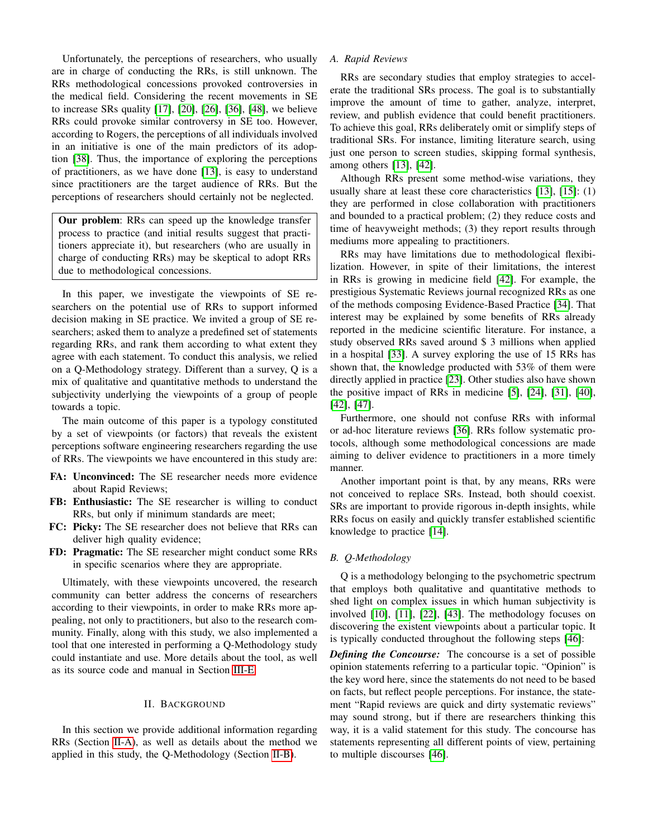Unfortunately, the perceptions of researchers, who usually are in charge of conducting the RRs, is still unknown. The RRs methodological concessions provoked controversies in the medical field. Considering the recent movements in SE to increase SRs quality [\[17\]](#page-10-13), [\[20\]](#page-10-14), [\[26\]](#page-10-15), [\[36\]](#page-10-16), [\[48\]](#page-11-0), we believe RRs could provoke similar controversy in SE too. However, according to Rogers, the perceptions of all individuals involved in an initiative is one of the main predictors of its adoption [\[38\]](#page-10-12). Thus, the importance of exploring the perceptions of practitioners, as we have done [\[13\]](#page-10-8), is easy to understand since practitioners are the target audience of RRs. But the perceptions of researchers should certainly not be neglected.

Our problem: RRs can speed up the knowledge transfer process to practice (and initial results suggest that practitioners appreciate it), but researchers (who are usually in charge of conducting RRs) may be skeptical to adopt RRs due to methodological concessions.

In this paper, we investigate the viewpoints of SE researchers on the potential use of RRs to support informed decision making in SE practice. We invited a group of SE researchers; asked them to analyze a predefined set of statements regarding RRs, and rank them according to what extent they agree with each statement. To conduct this analysis, we relied on a Q-Methodology strategy. Different than a survey, Q is a mix of qualitative and quantitative methods to understand the subjectivity underlying the viewpoints of a group of people towards a topic.

The main outcome of this paper is a typology constituted by a set of viewpoints (or factors) that reveals the existent perceptions software engineering researchers regarding the use of RRs. The viewpoints we have encountered in this study are:

- FA: Unconvinced: The SE researcher needs more evidence about Rapid Reviews;
- FB: Enthusiastic: The SE researcher is willing to conduct RRs, but only if minimum standards are meet;
- FC: Picky: The SE researcher does not believe that RRs can deliver high quality evidence;
- FD: Pragmatic: The SE researcher might conduct some RRs in specific scenarios where they are appropriate.

Ultimately, with these viewpoints uncovered, the research community can better address the concerns of researchers according to their viewpoints, in order to make RRs more appealing, not only to practitioners, but also to the research community. Finally, along with this study, we also implemented a tool that one interested in performing a Q-Methodology study could instantiate and use. More details about the tool, as well as its source code and manual in Section [III-E.](#page-3-0)

# II. BACKGROUND

In this section we provide additional information regarding RRs (Section [II-A\)](#page-1-0), as well as details about the method we applied in this study, the Q-Methodology (Section [II-B\)](#page-1-1).

# <span id="page-1-0"></span>*A. Rapid Reviews*

RRs are secondary studies that employ strategies to accelerate the traditional SRs process. The goal is to substantially improve the amount of time to gather, analyze, interpret, review, and publish evidence that could benefit practitioners. To achieve this goal, RRs deliberately omit or simplify steps of traditional SRs. For instance, limiting literature search, using just one person to screen studies, skipping formal synthesis, among others [\[13\]](#page-10-8), [\[42\]](#page-10-11).

Although RRs present some method-wise variations, they usually share at least these core characteristics [\[13\]](#page-10-8), [\[15\]](#page-10-17): (1) they are performed in close collaboration with practitioners and bounded to a practical problem; (2) they reduce costs and time of heavyweight methods; (3) they report results through mediums more appealing to practitioners.

RRs may have limitations due to methodological flexibilization. However, in spite of their limitations, the interest in RRs is growing in medicine field [\[42\]](#page-10-11). For example, the prestigious Systematic Reviews journal recognized RRs as one of the methods composing Evidence-Based Practice [\[34\]](#page-10-18). That interest may be explained by some benefits of RRs already reported in the medicine scientific literature. For instance, a study observed RRs saved around \$ 3 millions when applied in a hospital [\[33\]](#page-10-19). A survey exploring the use of 15 RRs has shown that, the knowledge producted with 53% of them were directly applied in practice [\[23\]](#page-10-20). Other studies also have shown the positive impact of RRs in medicine [\[5\]](#page-10-21), [\[24\]](#page-10-22), [\[31\]](#page-10-23), [\[40\]](#page-10-24), [\[42\]](#page-10-11), [\[47\]](#page-11-1).

Furthermore, one should not confuse RRs with informal or ad-hoc literature reviews [\[36\]](#page-10-16). RRs follow systematic protocols, although some methodological concessions are made aiming to deliver evidence to practitioners in a more timely manner.

Another important point is that, by any means, RRs were not conceived to replace SRs. Instead, both should coexist. SRs are important to provide rigorous in-depth insights, while RRs focus on easily and quickly transfer established scientific knowledge to practice [\[14\]](#page-10-25).

#### <span id="page-1-1"></span>*B. Q-Methodology*

Q is a methodology belonging to the psychometric spectrum that employs both qualitative and quantitative methods to shed light on complex issues in which human subjectivity is involved [\[10\]](#page-10-26), [\[11\]](#page-10-27), [\[22\]](#page-10-28), [\[43\]](#page-10-29). The methodology focuses on discovering the existent viewpoints about a particular topic. It is typically conducted throughout the following steps [\[46\]](#page-11-2):

*Defining the Concourse:* The concourse is a set of possible opinion statements referring to a particular topic. "Opinion" is the key word here, since the statements do not need to be based on facts, but reflect people perceptions. For instance, the statement "Rapid reviews are quick and dirty systematic reviews" may sound strong, but if there are researchers thinking this way, it is a valid statement for this study. The concourse has statements representing all different points of view, pertaining to multiple discourses [\[46\]](#page-11-2).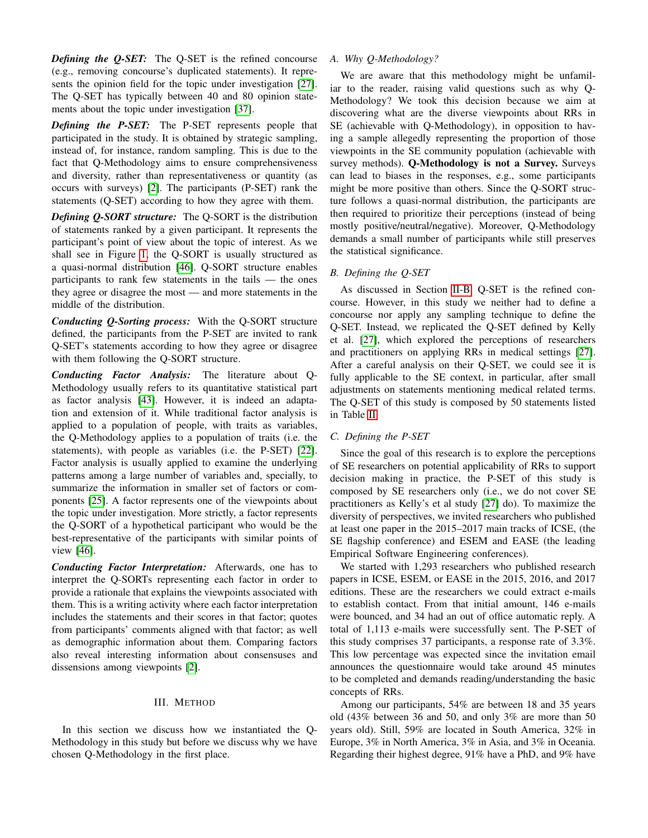*Defining the Q-SET:* The Q-SET is the refined concourse (e.g., removing concourse's duplicated statements). It represents the opinion field for the topic under investigation [\[27\]](#page-10-30). The Q-SET has typically between 40 and 80 opinion statements about the topic under investigation [\[37\]](#page-10-31).

*Defining the P-SET:* The P-SET represents people that participated in the study. It is obtained by strategic sampling, instead of, for instance, random sampling. This is due to the fact that Q-Methodology aims to ensure comprehensiveness and diversity, rather than representativeness or quantity (as occurs with surveys) [\[2\]](#page-10-32). The participants (P-SET) rank the statements (Q-SET) according to how they agree with them.

*Defining Q-SORT structure:* The Q-SORT is the distribution of statements ranked by a given participant. It represents the participant's point of view about the topic of interest. As we shall see in Figure [1,](#page-3-1) the Q-SORT is usually structured as a quasi-normal distribution [\[46\]](#page-11-2). Q-SORT structure enables participants to rank few statements in the tails — the ones they agree or disagree the most — and more statements in the middle of the distribution.

*Conducting Q-Sorting process:* With the Q-SORT structure defined, the participants from the P-SET are invited to rank Q-SET's statements according to how they agree or disagree with them following the Q-SORT structure.

*Conducting Factor Analysis:* The literature about Q-Methodology usually refers to its quantitative statistical part as factor analysis [\[43\]](#page-10-29). However, it is indeed an adaptation and extension of it. While traditional factor analysis is applied to a population of people, with traits as variables, the Q-Methodology applies to a population of traits (i.e. the statements), with people as variables (i.e. the P-SET) [\[22\]](#page-10-28). Factor analysis is usually applied to examine the underlying patterns among a large number of variables and, specially, to summarize the information in smaller set of factors or components [\[25\]](#page-10-33). A factor represents one of the viewpoints about the topic under investigation. More strictly, a factor represents the Q-SORT of a hypothetical participant who would be the best-representative of the participants with similar points of view [\[46\]](#page-11-2).

*Conducting Factor Interpretation:* Afterwards, one has to interpret the Q-SORTs representing each factor in order to provide a rationale that explains the viewpoints associated with them. This is a writing activity where each factor interpretation includes the statements and their scores in that factor; quotes from participants' comments aligned with that factor; as well as demographic information about them. Comparing factors also reveal interesting information about consensuses and dissensions among viewpoints [\[2\]](#page-10-32).

# III. METHOD

In this section we discuss how we instantiated the Q-Methodology in this study but before we discuss why we have chosen Q-Methodology in the first place.

# *A. Why Q-Methodology?*

We are aware that this methodology might be unfamiliar to the reader, raising valid questions such as why Q-Methodology? We took this decision because we aim at discovering what are the diverse viewpoints about RRs in SE (achievable with Q-Methodology), in opposition to having a sample allegedly representing the proportion of those viewpoints in the SE community population (achievable with survey methods). Q-Methodology is not a Survey. Surveys can lead to biases in the responses, e.g., some participants might be more positive than others. Since the Q-SORT structure follows a quasi-normal distribution, the participants are then required to prioritize their perceptions (instead of being mostly positive/neutral/negative). Moreover, Q-Methodology demands a small number of participants while still preserves the statistical significance.

#### *B. Defining the Q-SET*

As discussed in Section [II-B,](#page-1-1) Q-SET is the refined concourse. However, in this study we neither had to define a concourse nor apply any sampling technique to define the Q-SET. Instead, we replicated the Q-SET defined by Kelly et al. [\[27\]](#page-10-30), which explored the perceptions of researchers and practitioners on applying RRs in medical settings [\[27\]](#page-10-30). After a careful analysis on their Q-SET, we could see it is fully applicable to the SE context, in particular, after small adjustments on statements mentioning medical related terms. The Q-SET of this study is composed by 50 statements listed in Table [II.](#page-6-0)

#### *C. Defining the P-SET*

Since the goal of this research is to explore the perceptions of SE researchers on potential applicability of RRs to support decision making in practice, the P-SET of this study is composed by SE researchers only (i.e., we do not cover SE practitioners as Kelly's et al study [\[27\]](#page-10-30) do). To maximize the diversity of perspectives, we invited researchers who published at least one paper in the 2015–2017 main tracks of ICSE, (the SE flagship conference) and ESEM and EASE (the leading Empirical Software Engineering conferences).

We started with 1,293 researchers who published research papers in ICSE, ESEM, or EASE in the 2015, 2016, and 2017 editions. These are the researchers we could extract e-mails to establish contact. From that initial amount, 146 e-mails were bounced, and 34 had an out of office automatic reply. A total of 1,113 e-mails were successfully sent. The P-SET of this study comprises 37 participants, a response rate of 3.3%. This low percentage was expected since the invitation email announces the questionnaire would take around 45 minutes to be completed and demands reading/understanding the basic concepts of RRs.

Among our participants, 54% are between 18 and 35 years old (43% between 36 and 50, and only 3% are more than 50 years old). Still, 59% are located in South America, 32% in Europe, 3% in North America, 3% in Asia, and 3% in Oceania. Regarding their highest degree, 91% have a PhD, and 9% have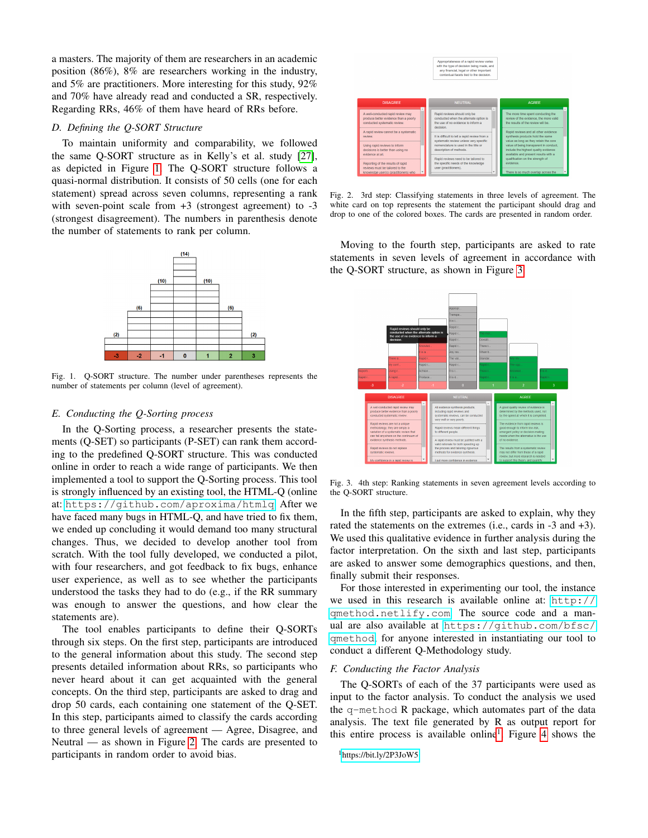a masters. The majority of them are researchers in an academic position (86%), 8% are researchers working in the industry, and 5% are practitioners. More interesting for this study, 92% and 70% have already read and conducted a SR, respectively. Regarding RRs, 46% of them have heard of RRs before.

# *D. Defining the Q-SORT Structure*

To maintain uniformity and comparability, we followed the same Q-SORT structure as in Kelly's et al. study [\[27\]](#page-10-30), as depicted in Figure [1.](#page-3-1) The Q-SORT structure follows a quasi-normal distribution. It consists of 50 cells (one for each statement) spread across seven columns, representing a rank with seven-point scale from  $+3$  (strongest agreement) to  $-3$ (strongest disagreement). The numbers in parenthesis denote the number of statements to rank per column.



<span id="page-3-1"></span>Fig. 1. Q-SORT structure. The number under parentheses represents the number of statements per column (level of agreement).

#### <span id="page-3-0"></span>*E. Conducting the Q-Sorting process*

In the Q-Sorting process, a researcher presents the statements (Q-SET) so participants (P-SET) can rank them according to the predefined Q-SORT structure. This was conducted online in order to reach a wide range of participants. We then implemented a tool to support the Q-Sorting process. This tool is strongly influenced by an existing tool, the HTML-Q (online at: <https://github.com/aproxima/htmlq>. After we have faced many bugs in HTML-Q, and have tried to fix them, we ended up concluding it would demand too many structural changes. Thus, we decided to develop another tool from scratch. With the tool fully developed, we conducted a pilot, with four researchers, and got feedback to fix bugs, enhance user experience, as well as to see whether the participants understood the tasks they had to do (e.g., if the RR summary was enough to answer the questions, and how clear the statements are).

The tool enables participants to define their Q-SORTs through six steps. On the first step, participants are introduced to the general information about this study. The second step presents detailed information about RRs, so participants who never heard about it can get acquainted with the general concepts. On the third step, participants are asked to drag and drop 50 cards, each containing one statement of the Q-SET. In this step, participants aimed to classify the cards according to three general levels of agreement — Agree, Disagree, and Neutral — as shown in Figure [2.](#page-3-2) The cards are presented to participants in random order to avoid bias.



Fig. 2. 3rd step: Classifying statements in three levels of agreement. The white card on top represents the statement the participant should drag and drop to one of the colored boxes. The cards are presented in random order.

<span id="page-3-2"></span>Moving to the fourth step, participants are asked to rate statements in seven levels of agreement in accordance with the Q-SORT structure, as shown in Figure [3.](#page-3-3)



<span id="page-3-3"></span>Fig. 3. 4th step: Ranking statements in seven agreement levels according to the Q-SORT structure.

In the fifth step, participants are asked to explain, why they rated the statements on the extremes (i.e., cards in -3 and +3). We used this qualitative evidence in further analysis during the factor interpretation. On the sixth and last step, participants are asked to answer some demographics questions, and then, finally submit their responses.

For those interested in experimenting our tool, the instance we used in this research is available online at: [http://](http://qmethod.netlify.com) [qmethod.netlify.com](http://qmethod.netlify.com). The source code and a manual are also available at [https://github.com/bfsc/](https://github.com/bfsc/qmethod) [qmethod](https://github.com/bfsc/qmethod), for anyone interested in instantiating our tool to conduct a different Q-Methodology study.

## *F. Conducting the Factor Analysis*

The Q-SORTs of each of the 37 participants were used as input to the factor analysis. To conduct the analysis we used the q-method R package, which automates part of the data analysis. The text file generated by R as output report for this entire process is available online<sup>[1](#page-3-4)</sup>. Figure [4](#page-4-0) shows the

```
1https://bit.ly/2P3JoW5
```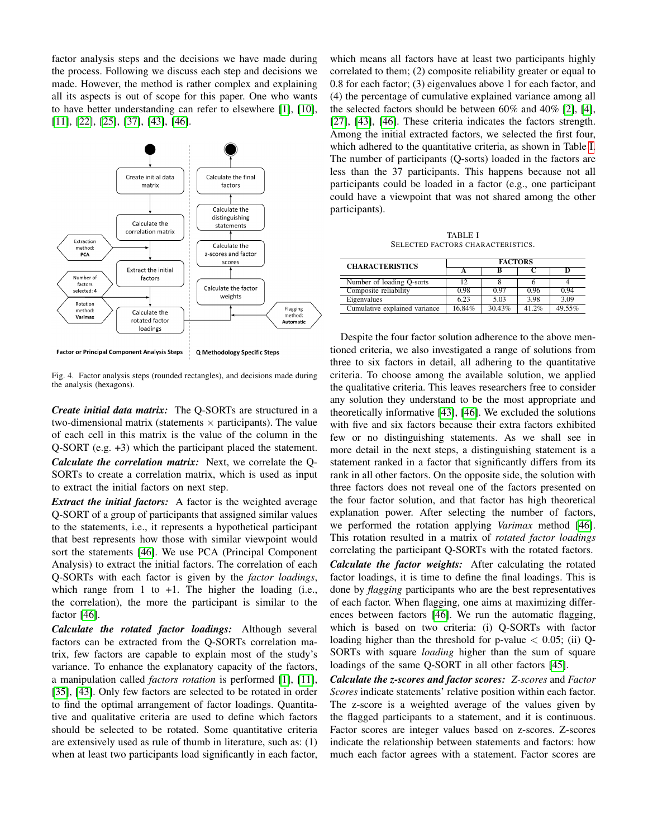factor analysis steps and the decisions we have made during the process. Following we discuss each step and decisions we made. However, the method is rather complex and explaining all its aspects is out of scope for this paper. One who wants to have better understanding can refer to elsewhere [\[1\]](#page-10-34), [\[10\]](#page-10-26), [\[11\]](#page-10-27), [\[22\]](#page-10-28), [\[25\]](#page-10-33), [\[37\]](#page-10-31), [\[43\]](#page-10-29), [\[46\]](#page-11-2).



**Factor or Principal Component Analysis Steps** Q Methodology Specific Steps

<span id="page-4-0"></span>Fig. 4. Factor analysis steps (rounded rectangles), and decisions made during the analysis (hexagons).

*Create initial data matrix:* The Q-SORTs are structured in a two-dimensional matrix (statements  $\times$  participants). The value of each cell in this matrix is the value of the column in the Q-SORT (e.g. +3) which the participant placed the statement.

*Calculate the correlation matrix:* Next, we correlate the Q-SORTs to create a correlation matrix, which is used as input to extract the initial factors on next step.

*Extract the initial factors:* A factor is the weighted average Q-SORT of a group of participants that assigned similar values to the statements, i.e., it represents a hypothetical participant that best represents how those with similar viewpoint would sort the statements [\[46\]](#page-11-2). We use PCA (Principal Component Analysis) to extract the initial factors. The correlation of each Q-SORTs with each factor is given by the *factor loadings*, which range from 1 to  $+1$ . The higher the loading (i.e., the correlation), the more the participant is similar to the factor [\[46\]](#page-11-2).

*Calculate the rotated factor loadings:* Although several factors can be extracted from the Q-SORTs correlation matrix, few factors are capable to explain most of the study's variance. To enhance the explanatory capacity of the factors, a manipulation called *factors rotation* is performed [\[1\]](#page-10-34), [\[11\]](#page-10-27), [\[35\]](#page-10-35), [\[43\]](#page-10-29). Only few factors are selected to be rotated in order to find the optimal arrangement of factor loadings. Quantitative and qualitative criteria are used to define which factors should be selected to be rotated. Some quantitative criteria are extensively used as rule of thumb in literature, such as: (1) when at least two participants load significantly in each factor,

which means all factors have at least two participants highly correlated to them; (2) composite reliability greater or equal to 0.8 for each factor; (3) eigenvalues above 1 for each factor, and (4) the percentage of cumulative explained variance among all the selected factors should be between 60% and 40% [\[2\]](#page-10-32), [\[4\]](#page-10-36), [\[27\]](#page-10-30), [\[43\]](#page-10-29), [\[46\]](#page-11-2). These criteria indicates the factors strength. Among the initial extracted factors, we selected the first four, which adhered to the quantitative criteria, as shown in Table [I.](#page-4-1) The number of participants (Q-sorts) loaded in the factors are less than the 37 participants. This happens because not all participants could be loaded in a factor (e.g., one participant could have a viewpoint that was not shared among the other participants).

TABLE I SELECTED FACTORS CHARACTERISTICS.

<span id="page-4-1"></span>

| <b>CHARACTERISTICS</b>        | <b>FACTORS</b> |        |         |        |  |  |
|-------------------------------|----------------|--------|---------|--------|--|--|
|                               |                |        |         |        |  |  |
| Number of loading Q-sorts     | 12             |        |         |        |  |  |
| Composite reliability         | 0.98           | 0.97   | 0.96    | 0.94   |  |  |
| Eigenvalues                   | 6.23           | 5.03   | 3.98    | 3.09   |  |  |
| Cumulative explained variance | 16.84%         | 30.43% | 41 $2%$ | 49.55% |  |  |

Despite the four factor solution adherence to the above mentioned criteria, we also investigated a range of solutions from three to six factors in detail, all adhering to the quantitative criteria. To choose among the available solution, we applied the qualitative criteria. This leaves researchers free to consider any solution they understand to be the most appropriate and theoretically informative [\[43\]](#page-10-29), [\[46\]](#page-11-2). We excluded the solutions with five and six factors because their extra factors exhibited few or no distinguishing statements. As we shall see in more detail in the next steps, a distinguishing statement is a statement ranked in a factor that significantly differs from its rank in all other factors. On the opposite side, the solution with three factors does not reveal one of the factors presented on the four factor solution, and that factor has high theoretical explanation power. After selecting the number of factors, we performed the rotation applying *Varimax* method [\[46\]](#page-11-2). This rotation resulted in a matrix of *rotated factor loadings* correlating the participant Q-SORTs with the rotated factors. *Calculate the factor weights:* After calculating the rotated factor loadings, it is time to define the final loadings. This is done by *flagging* participants who are the best representatives of each factor. When flagging, one aims at maximizing differences between factors [\[46\]](#page-11-2). We run the automatic flagging, which is based on two criteria: (i) Q-SORTs with factor loading higher than the threshold for p-value  $< 0.05$ ; (ii) Q-SORTs with square *loading* higher than the sum of square loadings of the same Q-SORT in all other factors [\[45\]](#page-11-3).

*Calculate the z-scores and factor scores: Z-scores* and *Factor Scores* indicate statements' relative position within each factor. The z-score is a weighted average of the values given by the flagged participants to a statement, and it is continuous. Factor scores are integer values based on z-scores. Z-scores indicate the relationship between statements and factors: how much each factor agrees with a statement. Factor scores are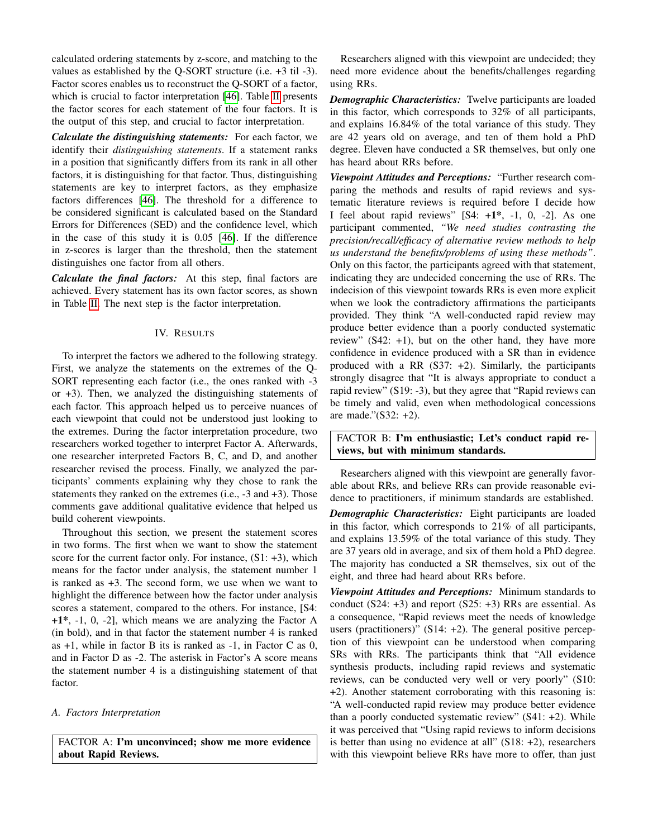calculated ordering statements by z-score, and matching to the values as established by the Q-SORT structure (i.e. +3 til -3). Factor scores enables us to reconstruct the Q-SORT of a factor, which is crucial to factor interpretation [\[46\]](#page-11-2). Table [II](#page-6-0) presents the factor scores for each statement of the four factors. It is the output of this step, and crucial to factor interpretation.

*Calculate the distinguishing statements:* For each factor, we identify their *distinguishing statements*. If a statement ranks in a position that significantly differs from its rank in all other factors, it is distinguishing for that factor. Thus, distinguishing statements are key to interpret factors, as they emphasize factors differences [\[46\]](#page-11-2). The threshold for a difference to be considered significant is calculated based on the Standard Errors for Differences (SED) and the confidence level, which in the case of this study it is 0.05 [\[46\]](#page-11-2). If the difference in z-scores is larger than the threshold, then the statement distinguishes one factor from all others.

*Calculate the final factors:* At this step, final factors are achieved. Every statement has its own factor scores, as shown in Table [II.](#page-6-0) The next step is the factor interpretation.

# IV. RESULTS

To interpret the factors we adhered to the following strategy. First, we analyze the statements on the extremes of the Q-SORT representing each factor (i.e., the ones ranked with -3 or +3). Then, we analyzed the distinguishing statements of each factor. This approach helped us to perceive nuances of each viewpoint that could not be understood just looking to the extremes. During the factor interpretation procedure, two researchers worked together to interpret Factor A. Afterwards, one researcher interpreted Factors B, C, and D, and another researcher revised the process. Finally, we analyzed the participants' comments explaining why they chose to rank the statements they ranked on the extremes (i.e., -3 and +3). Those comments gave additional qualitative evidence that helped us build coherent viewpoints.

Throughout this section, we present the statement scores in two forms. The first when we want to show the statement score for the current factor only. For instance,  $(S1: +3)$ , which means for the factor under analysis, the statement number 1 is ranked as +3. The second form, we use when we want to highlight the difference between how the factor under analysis scores a statement, compared to the others. For instance, [S4:  $+1^*$ ,  $-1$ , 0,  $-2$ ], which means we are analyzing the Factor A (in bold), and in that factor the statement number 4 is ranked as  $+1$ , while in factor B its is ranked as  $-1$ , in Factor C as 0, and in Factor D as -2. The asterisk in Factor's A score means the statement number 4 is a distinguishing statement of that factor.

#### *A. Factors Interpretation*

FACTOR A: I'm unconvinced; show me more evidence about Rapid Reviews.

Researchers aligned with this viewpoint are undecided; they need more evidence about the benefits/challenges regarding using RRs.

*Demographic Characteristics:* Twelve participants are loaded in this factor, which corresponds to 32% of all participants, and explains 16.84% of the total variance of this study. They are 42 years old on average, and ten of them hold a PhD degree. Eleven have conducted a SR themselves, but only one has heard about RRs before.

*Viewpoint Attitudes and Perceptions:* "Further research comparing the methods and results of rapid reviews and systematic literature reviews is required before I decide how I feel about rapid reviews"  $[S4: +1^*, -1, 0, -2]$ . As one participant commented, *"We need studies contrasting the precision/recall/efficacy of alternative review methods to help us understand the benefits/problems of using these methods"*. Only on this factor, the participants agreed with that statement, indicating they are undecided concerning the use of RRs. The indecision of this viewpoint towards RRs is even more explicit when we look the contradictory affirmations the participants provided. They think "A well-conducted rapid review may produce better evidence than a poorly conducted systematic review"  $(S42: +1)$ , but on the other hand, they have more confidence in evidence produced with a SR than in evidence produced with a RR  $(S37: +2)$ . Similarly, the participants strongly disagree that "It is always appropriate to conduct a rapid review" (S19: -3), but they agree that "Rapid reviews can be timely and valid, even when methodological concessions are made."(S32: +2).

FACTOR B: I'm enthusiastic; Let's conduct rapid reviews, but with minimum standards.

Researchers aligned with this viewpoint are generally favorable about RRs, and believe RRs can provide reasonable evidence to practitioners, if minimum standards are established.

*Demographic Characteristics:* Eight participants are loaded in this factor, which corresponds to 21% of all participants, and explains 13.59% of the total variance of this study. They are 37 years old in average, and six of them hold a PhD degree. The majority has conducted a SR themselves, six out of the eight, and three had heard about RRs before.

*Viewpoint Attitudes and Perceptions:* Minimum standards to conduct (S24: +3) and report (S25: +3) RRs are essential. As a consequence, "Rapid reviews meet the needs of knowledge users (practitioners)"  $(S14: +2)$ . The general positive perception of this viewpoint can be understood when comparing SRs with RRs. The participants think that "All evidence synthesis products, including rapid reviews and systematic reviews, can be conducted very well or very poorly" (S10: +2). Another statement corroborating with this reasoning is: "A well-conducted rapid review may produce better evidence than a poorly conducted systematic review" (S41: +2). While it was perceived that "Using rapid reviews to inform decisions is better than using no evidence at all"  $(S18: +2)$ , researchers with this viewpoint believe RRs have more to offer, than just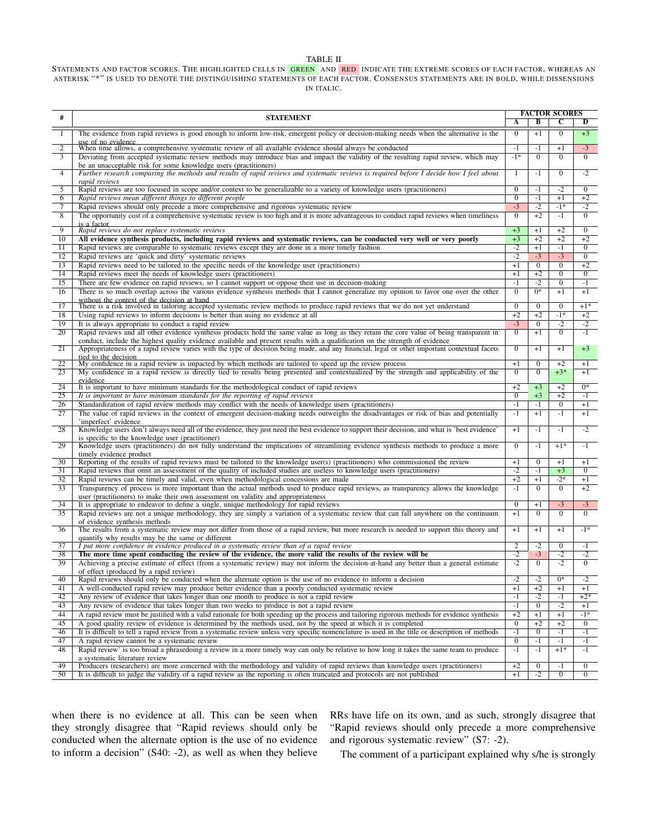#### TABLE II

#### <span id="page-6-0"></span>STATEMENTS AND FACTOR SCORES. THE HIGHLIGHTED CELLS IN GREEN AND RED INDICATE THE EXTREME SCORES OF EACH FACTOR, WHEREAS AN ASTERISK "\*" IS USED TO DENOTE THE DISTINGUISHING STATEMENTS OF EACH FACTOR. CONSENSUS STATEMENTS ARE IN BOLD, WHILE DISSENSIONS IN ITALIC.

|                 |                                                                                                                                                                                                                                                                              | <b>FACTOR SCORES</b> |                  |                |                |
|-----------------|------------------------------------------------------------------------------------------------------------------------------------------------------------------------------------------------------------------------------------------------------------------------------|----------------------|------------------|----------------|----------------|
| #               | <b>STATEMENT</b>                                                                                                                                                                                                                                                             | A                    | B                | C              | D              |
| -1              | The evidence from rapid reviews is good enough to inform low-risk, emergent policy or decision-making needs when the alternative is the                                                                                                                                      | $\overline{0}$       | $+1$             | $\overline{0}$ | $+3$           |
| $\overline{2}$  | use of no evidence<br>When time allows, a comprehensive systematic review of all available evidence should always be conducted                                                                                                                                               | $-1$                 | $-1$             | $+1$           | $-3$           |
| $\overline{3}$  | Deviating from accepted systematic review methods may introduce bias and impact the validity of the resulting rapid review, which may                                                                                                                                        | $-1*$                | $\overline{0}$   | $\overline{0}$ | $\overline{0}$ |
| $\overline{4}$  | be an unacceptable risk for some knowledge users (practitioners)<br>Further research comparing the methods and results of rapid reviews and systematic reviews is required before I decide how I feel about                                                                  | 1                    | $-1$             | $\overline{0}$ | $-2$           |
| 5               | rapid reviews<br>Rapid reviews are too focused in scope and/or context to be generalizable to a variety of knowledge users (practitioners)                                                                                                                                   | $\overline{0}$       | $-1$             | $-2$           | $\mathbf{0}$   |
| 6               | Rapid reviews mean different things to different people                                                                                                                                                                                                                      | $\overline{0}$       | $-1$             | $+1$           | $+2$           |
| 7               | Rapid reviews should only precede a more comprehensive and rigorous systematic review                                                                                                                                                                                        | $-3$                 | $-2$             | $-1*$          | $-2$           |
| $\overline{8}$  | The opportunity cost of a comprehensive systematic review is too high and it is more advantageous to conduct rapid reviews when timeliness<br>is a factor                                                                                                                    | $\overline{0}$       | $+2$             | $-1$           | $\overline{0}$ |
| $\overline{9}$  | Rapid reviews do not replace systematic reviews                                                                                                                                                                                                                              | $+3$                 | $+1$             | $+2$           | $\overline{0}$ |
| 10              | All evidence synthesis products, including rapid reviews and systematic reviews, can be conducted very well or very poorly                                                                                                                                                   | $+3$                 | $+2$             | $+2$           | $+2$           |
| 11              | Rapid reviews are comparable to systematic reviews except they are done in a more timely fashion                                                                                                                                                                             | $-2$                 | $+1$             | $-1$           | $\overline{0}$ |
| 12              | Rapid reviews are 'quick and dirty' systematic reviews                                                                                                                                                                                                                       | $-2$                 | $-3$             | $-3$           | $\bf{0}$       |
| 13              | Rapid reviews need to be tailored to the specific needs of the knowledge user (practitioners)                                                                                                                                                                                | $+1$                 | $\overline{0}$   | $\mathbf{0}$   | $+2$           |
| 14              | Rapid reviews meet the needs of knowledge users (practitioners)                                                                                                                                                                                                              | $+1$                 | $+2$             | $\overline{0}$ | $\overline{0}$ |
| 15              | There are few evidence on rapid reviews, so I cannot support or oppose their use in decision-making                                                                                                                                                                          | $-1$                 | $-2$             | $\overline{0}$ | $-1$           |
| 16              | There is so much overlap across the various evidence synthesis methods that I cannot generalize my opinion to favor one over the other                                                                                                                                       | $\overline{0}$       | $\overline{0^*}$ | $+1$           | $+1$           |
| 17              | without the context of the decision at hand<br>There is a risk involved in tailoring accepted systematic review methods to produce rapid reviews that we do not yet understand                                                                                               | $\overline{0}$       | $\overline{0}$   | $\overline{0}$ | $+1*$          |
| 18              | Using rapid reviews to inform decisions is better than using no evidence at all                                                                                                                                                                                              | $+2$                 | $+2$             | $-1*$          | $+2$           |
| 19              | It is always appropriate to conduct a rapid review                                                                                                                                                                                                                           | $-3$                 | $\overline{0}$   | $-2$           | $-2$           |
| 20              | Rapid reviews and all other evidence synthesis products hold the same value as long as they retain the core value of being transparent in                                                                                                                                    | $\overline{0}$       | $+1$             | $\overline{0}$ | $-1$           |
| 21              | conduct, include the highest quality evidence available and present results with a qualification on the strength of evidence<br>Appropriateness of a rapid review varies with the type of decision being made, and any financial, legal or other important contextual facets | $\overline{0}$       | $+1$             | $+1$           | $+3$           |
| $\overline{22}$ | tied to the decision<br>My confidence in a rapid review is impacted by which methods are tailored to speed up the review process                                                                                                                                             | $+1$                 | $\mathbf{0}$     | $+2$           | $+1$           |
| 23              | My confidence in a rapid review is directly tied to results being presented and contextualized by the strength and applicability of the                                                                                                                                      | $\overline{0}$       | $\overline{0}$   | $+3*$          | $+1$           |
|                 | evidence                                                                                                                                                                                                                                                                     |                      |                  |                |                |
| 24              | It is important to have minimum standards for the methodological conduct of rapid reviews                                                                                                                                                                                    | $+2$                 | $+3$             | $+2$           | $0*$           |
| 25              | It is important to have minimum standards for the reporting of rapid reviews                                                                                                                                                                                                 | $\mathbf{0}$         | $+3$             | $+2$           | $-1$           |
| 26              | Standardization of rapid review methods may conflict with the needs of knowledge users (practitioners)                                                                                                                                                                       | $-1$                 | $-1$             | $\mathbf{0}$   | $+1$           |
| 27              | The value of rapid reviews in the context of emergent decision-making needs outweighs the disadvantages or risk of bias and potentially<br>'imperfect' evidence                                                                                                              | $-1$                 | $+1$             | $-1$           | $+1$           |
| 28              | Knowledge users don't always need all of the evidence, they just need the best evidence to support their decision, and what is 'best evidence'<br>is specific to the knowledge user (practitioner)                                                                           | $+1$                 | $-1$             | $-1$           | $-2$           |
| 29              | Knowledge users (practitioners) do not fully understand the implications of streamlining evidence synthesis methods to produce a more<br>timely evidence product                                                                                                             | $\Omega$             | $-1$             | $+1*$          | $-1$           |
| $\overline{30}$ | Reporting of the results of rapid reviews must be tailored to the knowledge user(s) (practitioners) who commissioned the review                                                                                                                                              | $+1$                 | $\mathbf{0}$     | $+1$           | $+1$           |
| 31              | Rapid reviews that omit an assessment of the quality of included studies are useless to knowledge users (practitioners)                                                                                                                                                      | $-2$                 | $-1$             | $+3$           | $\overline{0}$ |
| 32              | Rapid reviews can be timely and valid, even when methodological concessions are made                                                                                                                                                                                         | $+2$                 | $^{+1}$          | $-2*$          | $+1$           |
| 33              | Transparency of process is more important than the actual methods used to produce rapid reviews, as transparency allows the knowledge                                                                                                                                        | $-1$                 | $\overline{0}$   | $\mathbf{0}$   | $+2$           |
|                 | user (practitioners) to make their own assessment on validity and appropriateness                                                                                                                                                                                            |                      |                  |                |                |
| 34              | It is appropriate to endeavor to define a single, unique methodology for rapid reviews                                                                                                                                                                                       | $\mathbf{0}$         | $+1$             | $-3$           | $-3$           |
| 35              | Rapid reviews are not a unique methodology, they are simply a variation of a systematic review that can fall anywhere on the continuum<br>of evidence synthesis methods                                                                                                      | $+1$                 | $\Omega$         | $\Omega$       | $\mathbf{0}$   |
| 36              | The results from a systematic review may not differ from those of a rapid review, but more research is needed to support this theory and<br>quantify why results may be the same or different                                                                                | $+1$                 | $+1$             | $+1$           | $-1*$          |
| 37              | I put more confidence in evidence produced in a systematic review than of a rapid review                                                                                                                                                                                     | $\overline{2}$       | $-2$             | $\mathbf{0}$   | $-1$           |
| 38              | The more time spent conducting the review of the evidence, the more valid the results of the review will be                                                                                                                                                                  | $-2$                 | $-3$             | $-2$           | $-2$           |
| 39              | Achieving a precise estimate of effect (from a systematic review) may not inform the decision-at-hand any better than a general estimate                                                                                                                                     | $-2$                 | $\overline{0}$   | $-2$           | $\overline{0}$ |
|                 | of effect (produced by a rapid review)                                                                                                                                                                                                                                       |                      |                  |                |                |
| 40              | Rapid reviews should only be conducted when the alternate option is the use of no evidence to inform a decision                                                                                                                                                              | $-2$                 | $-2$             | $0*$           | -2             |
| 41              | A well-conducted rapid review may produce better evidence than a poorly conducted systematic review                                                                                                                                                                          | $+1$                 | $+2$             | $+1$           | $+1$           |
| 42              | Any review of evidence that takes longer than one month to produce is not a rapid review                                                                                                                                                                                     | $-1$                 | $-2$             | $-1$           | $+2*$          |
| 43              | Any review of evidence that takes longer than two weeks to produce is not a rapid review                                                                                                                                                                                     | $-1$                 | $\boldsymbol{0}$ | $-2$           | $+1$           |
| 44              | A rapid review must be justified with a valid rationale for both speeding up the process and tailoring rigorous methods for evidence synthesis                                                                                                                               | $+2$                 | $+1$             | $+1$           | $-1*$          |
| 45              | A good quality review of evidence is determined by the methods used, not by the speed at which it is completed                                                                                                                                                               | $\overline{0}$       | $+2$             | $+2$           | $\overline{0}$ |
| 46              | It is difficult to tell a rapid review from a systematic review unless very specific nomenclature is used in the title or description of methods                                                                                                                             | $-1$                 | $\overline{0}$   | $-1$           | $-1$           |
| 47              | A rapid review cannot be a systematic review                                                                                                                                                                                                                                 | $\overline{0}$       | $-1$             | $-1$           | $-1$           |
| 48              | Rapid review' is too broad a phrasedoing a review in a more timely way can only be relative to how long it takes the same team to produce<br>a systematic literature review                                                                                                  | $-1$                 | $-1$             | $+1*$          | $-1$           |
| 49              | Producers (researchers) are more concerned with the methodology and validity of rapid reviews than knowledge users (practitioners)                                                                                                                                           | $+2$                 | 0                | $-1$           | $\mathbf{0}$   |
| 50              | It is difficult to judge the validity of a rapid review as the reporting is often truncated and protocols are not published                                                                                                                                                  | $+1$                 | $-2$             | $\overline{0}$ | $\overline{0}$ |

when there is no evidence at all. This can be seen when they strongly disagree that "Rapid reviews should only be conducted when the alternate option is the use of no evidence to inform a decision" (S40: -2), as well as when they believe RRs have life on its own, and as such, strongly disagree that "Rapid reviews should only precede a more comprehensive and rigorous systematic review" (S7: -2).

The comment of a participant explained why s/he is strongly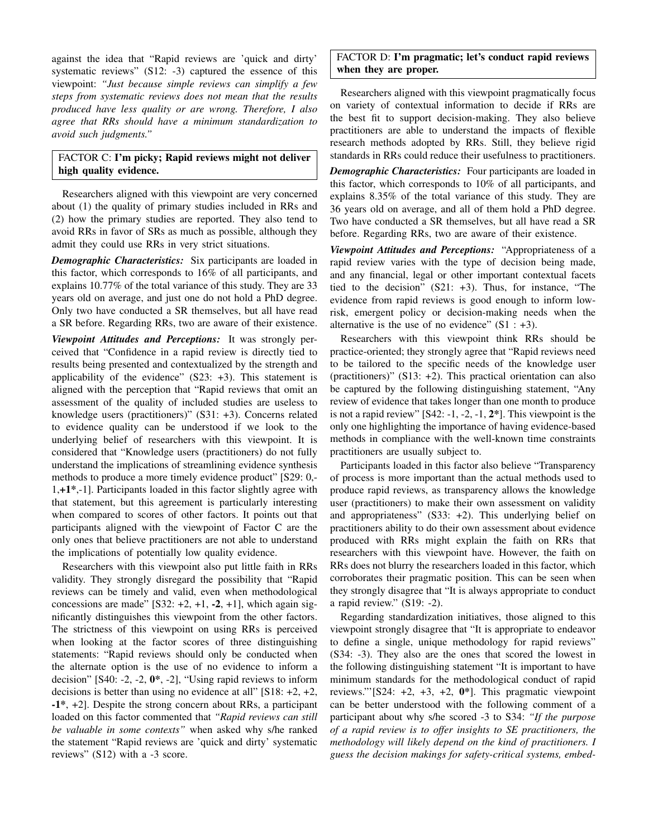against the idea that "Rapid reviews are 'quick and dirty' systematic reviews" (S12: -3) captured the essence of this viewpoint: *"Just because simple reviews can simplify a few steps from systematic reviews does not mean that the results produced have less quality or are wrong. Therefore, I also agree that RRs should have a minimum standardization to avoid such judgments."*

# FACTOR C: I'm picky; Rapid reviews might not deliver high quality evidence.

Researchers aligned with this viewpoint are very concerned about (1) the quality of primary studies included in RRs and (2) how the primary studies are reported. They also tend to avoid RRs in favor of SRs as much as possible, although they admit they could use RRs in very strict situations.

*Demographic Characteristics:* Six participants are loaded in this factor, which corresponds to 16% of all participants, and explains 10.77% of the total variance of this study. They are 33 years old on average, and just one do not hold a PhD degree. Only two have conducted a SR themselves, but all have read a SR before. Regarding RRs, two are aware of their existence.

*Viewpoint Attitudes and Perceptions:* It was strongly perceived that "Confidence in a rapid review is directly tied to results being presented and contextualized by the strength and applicability of the evidence"  $(S23: +3)$ . This statement is aligned with the perception that "Rapid reviews that omit an assessment of the quality of included studies are useless to knowledge users (practitioners)" (S31: +3). Concerns related to evidence quality can be understood if we look to the underlying belief of researchers with this viewpoint. It is considered that "Knowledge users (practitioners) do not fully understand the implications of streamlining evidence synthesis methods to produce a more timely evidence product" [S29: 0,- 1,+1\*,-1]. Participants loaded in this factor slightly agree with that statement, but this agreement is particularly interesting when compared to scores of other factors. It points out that participants aligned with the viewpoint of Factor C are the only ones that believe practitioners are not able to understand the implications of potentially low quality evidence.

Researchers with this viewpoint also put little faith in RRs validity. They strongly disregard the possibility that "Rapid reviews can be timely and valid, even when methodological concessions are made"  $[S32: +2, +1, -2, +1]$ , which again significantly distinguishes this viewpoint from the other factors. The strictness of this viewpoint on using RRs is perceived when looking at the factor scores of three distinguishing statements: "Rapid reviews should only be conducted when the alternate option is the use of no evidence to inform a decision" [S40: -2, -2,  $0^*$ , -2], "Using rapid reviews to inform decisions is better than using no evidence at all"  $[S18: +2, +2,$ -1\*, +2]. Despite the strong concern about RRs, a participant loaded on this factor commented that *"Rapid reviews can still be valuable in some contexts"* when asked why s/he ranked the statement "Rapid reviews are 'quick and dirty' systematic reviews" (S12) with a -3 score.

FACTOR D: I'm pragmatic; let's conduct rapid reviews when they are proper.

Researchers aligned with this viewpoint pragmatically focus on variety of contextual information to decide if RRs are the best fit to support decision-making. They also believe practitioners are able to understand the impacts of flexible research methods adopted by RRs. Still, they believe rigid standards in RRs could reduce their usefulness to practitioners.

*Demographic Characteristics:* Four participants are loaded in this factor, which corresponds to 10% of all participants, and explains 8.35% of the total variance of this study. They are 36 years old on average, and all of them hold a PhD degree. Two have conducted a SR themselves, but all have read a SR before. Regarding RRs, two are aware of their existence.

*Viewpoint Attitudes and Perceptions:* "Appropriateness of a rapid review varies with the type of decision being made, and any financial, legal or other important contextual facets tied to the decision" (S21: +3). Thus, for instance, "The evidence from rapid reviews is good enough to inform lowrisk, emergent policy or decision-making needs when the alternative is the use of no evidence"  $(S1 : +3)$ .

Researchers with this viewpoint think RRs should be practice-oriented; they strongly agree that "Rapid reviews need to be tailored to the specific needs of the knowledge user (practitioners)" (S13: +2). This practical orientation can also be captured by the following distinguishing statement, "Any review of evidence that takes longer than one month to produce is not a rapid review" [S42: -1, -2, -1, 2\*]. This viewpoint is the only one highlighting the importance of having evidence-based methods in compliance with the well-known time constraints practitioners are usually subject to.

Participants loaded in this factor also believe "Transparency of process is more important than the actual methods used to produce rapid reviews, as transparency allows the knowledge user (practitioners) to make their own assessment on validity and appropriateness" (S33: +2). This underlying belief on practitioners ability to do their own assessment about evidence produced with RRs might explain the faith on RRs that researchers with this viewpoint have. However, the faith on RRs does not blurry the researchers loaded in this factor, which corroborates their pragmatic position. This can be seen when they strongly disagree that "It is always appropriate to conduct a rapid review." (S19: -2).

Regarding standardization initiatives, those aligned to this viewpoint strongly disagree that "It is appropriate to endeavor to define a single, unique methodology for rapid reviews" (S34: -3). They also are the ones that scored the lowest in the following distinguishing statement "It is important to have minimum standards for the methodological conduct of rapid reviews."'[S24:  $+2$ ,  $+3$ ,  $+2$ ,  $0^*$ ]. This pragmatic viewpoint can be better understood with the following comment of a participant about why s/he scored -3 to S34: *"If the purpose of a rapid review is to offer insights to SE practitioners, the methodology will likely depend on the kind of practitioners. I guess the decision makings for safety-critical systems, embed-*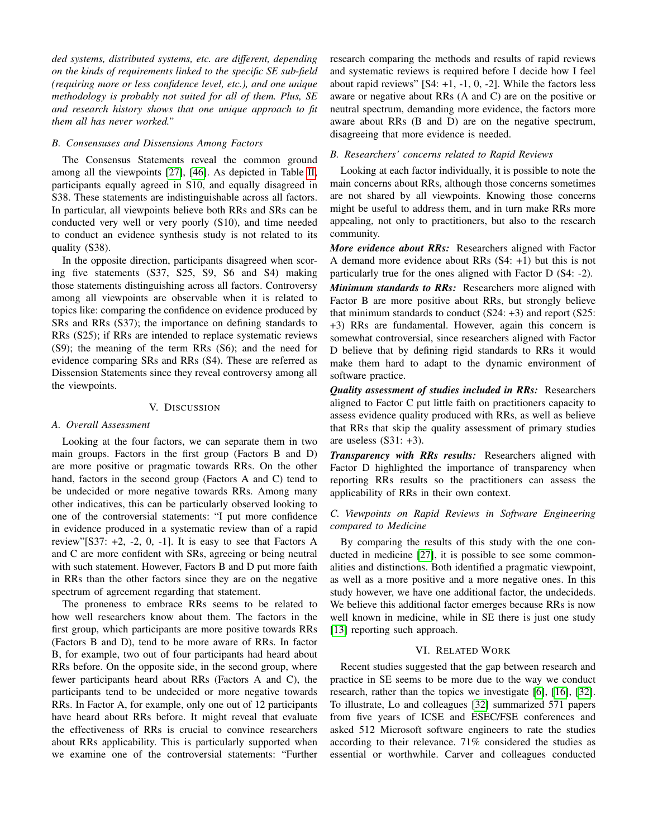*ded systems, distributed systems, etc. are different, depending on the kinds of requirements linked to the specific SE sub-field (requiring more or less confidence level, etc.), and one unique methodology is probably not suited for all of them. Plus, SE and research history shows that one unique approach to fit them all has never worked."*

#### *B. Consensuses and Dissensions Among Factors*

The Consensus Statements reveal the common ground among all the viewpoints [\[27\]](#page-10-30), [\[46\]](#page-11-2). As depicted in Table [II,](#page-6-0) participants equally agreed in S10, and equally disagreed in S38. These statements are indistinguishable across all factors. In particular, all viewpoints believe both RRs and SRs can be conducted very well or very poorly (S10), and time needed to conduct an evidence synthesis study is not related to its quality (S38).

In the opposite direction, participants disagreed when scoring five statements (S37, S25, S9, S6 and S4) making those statements distinguishing across all factors. Controversy among all viewpoints are observable when it is related to topics like: comparing the confidence on evidence produced by SRs and RRs (S37); the importance on defining standards to RRs (S25); if RRs are intended to replace systematic reviews (S9); the meaning of the term RRs (S6); and the need for evidence comparing SRs and RRs (S4). These are referred as Dissension Statements since they reveal controversy among all the viewpoints.

## V. DISCUSSION

#### *A. Overall Assessment*

Looking at the four factors, we can separate them in two main groups. Factors in the first group (Factors B and D) are more positive or pragmatic towards RRs. On the other hand, factors in the second group (Factors A and C) tend to be undecided or more negative towards RRs. Among many other indicatives, this can be particularly observed looking to one of the controversial statements: "I put more confidence in evidence produced in a systematic review than of a rapid review"[S37:  $+2$ ,  $-2$ , 0,  $-1$ ]. It is easy to see that Factors A and C are more confident with SRs, agreeing or being neutral with such statement. However, Factors B and D put more faith in RRs than the other factors since they are on the negative spectrum of agreement regarding that statement.

The proneness to embrace RRs seems to be related to how well researchers know about them. The factors in the first group, which participants are more positive towards RRs (Factors B and D), tend to be more aware of RRs. In factor B, for example, two out of four participants had heard about RRs before. On the opposite side, in the second group, where fewer participants heard about RRs (Factors A and C), the participants tend to be undecided or more negative towards RRs. In Factor A, for example, only one out of 12 participants have heard about RRs before. It might reveal that evaluate the effectiveness of RRs is crucial to convince researchers about RRs applicability. This is particularly supported when we examine one of the controversial statements: "Further research comparing the methods and results of rapid reviews and systematic reviews is required before I decide how I feel about rapid reviews"  $[S4: +1, -1, 0, -2]$ . While the factors less aware or negative about RRs (A and C) are on the positive or neutral spectrum, demanding more evidence, the factors more aware about RRs (B and D) are on the negative spectrum, disagreeing that more evidence is needed.

#### *B. Researchers' concerns related to Rapid Reviews*

Looking at each factor individually, it is possible to note the main concerns about RRs, although those concerns sometimes are not shared by all viewpoints. Knowing those concerns might be useful to address them, and in turn make RRs more appealing, not only to practitioners, but also to the research community.

*More evidence about RRs:* Researchers aligned with Factor A demand more evidence about RRs (S4: +1) but this is not particularly true for the ones aligned with Factor D (S4: -2). *Minimum standards to RRs:* Researchers more aligned with Factor B are more positive about RRs, but strongly believe that minimum standards to conduct  $(S24: +3)$  and report  $(S25:$ +3) RRs are fundamental. However, again this concern is somewhat controversial, since researchers aligned with Factor D believe that by defining rigid standards to RRs it would make them hard to adapt to the dynamic environment of software practice.

*Quality assessment of studies included in RRs:* Researchers aligned to Factor C put little faith on practitioners capacity to assess evidence quality produced with RRs, as well as believe that RRs that skip the quality assessment of primary studies are useless  $(S31: +3)$ .

*Transparency with RRs results:* Researchers aligned with Factor D highlighted the importance of transparency when reporting RRs results so the practitioners can assess the applicability of RRs in their own context.

## *C. Viewpoints on Rapid Reviews in Software Engineering compared to Medicine*

By comparing the results of this study with the one conducted in medicine [\[27\]](#page-10-30), it is possible to see some commonalities and distinctions. Both identified a pragmatic viewpoint, as well as a more positive and a more negative ones. In this study however, we have one additional factor, the undecideds. We believe this additional factor emerges because RRs is now well known in medicine, while in SE there is just one study [\[13\]](#page-10-8) reporting such approach.

#### VI. RELATED WORK

Recent studies suggested that the gap between research and practice in SE seems to be more due to the way we conduct research, rather than the topics we investigate [\[6\]](#page-10-37), [\[16\]](#page-10-38), [\[32\]](#page-10-39). To illustrate, Lo and colleagues [\[32\]](#page-10-39) summarized 571 papers from five years of ICSE and ESEC/FSE conferences and asked 512 Microsoft software engineers to rate the studies according to their relevance. 71% considered the studies as essential or worthwhile. Carver and colleagues conducted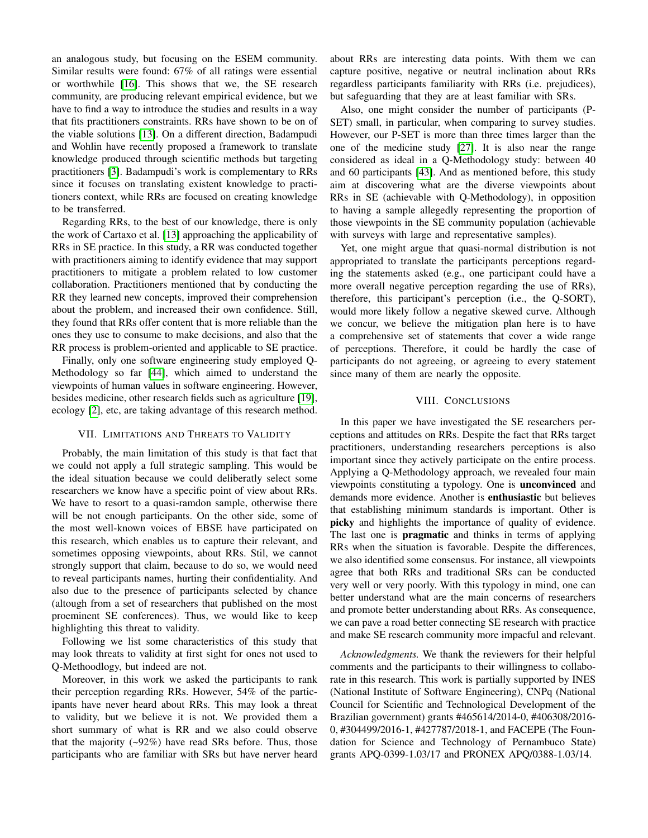an analogous study, but focusing on the ESEM community. Similar results were found: 67% of all ratings were essential or worthwhile [\[16\]](#page-10-38). This shows that we, the SE research community, are producing relevant empirical evidence, but we have to find a way to introduce the studies and results in a way that fits practitioners constraints. RRs have shown to be on of the viable solutions [\[13\]](#page-10-8). On a different direction, Badampudi and Wohlin have recently proposed a framework to translate knowledge produced through scientific methods but targeting practitioners [\[3\]](#page-10-40). Badampudi's work is complementary to RRs since it focuses on translating existent knowledge to practitioners context, while RRs are focused on creating knowledge to be transferred.

Regarding RRs, to the best of our knowledge, there is only the work of Cartaxo et al. [\[13\]](#page-10-8) approaching the applicability of RRs in SE practice. In this study, a RR was conducted together with practitioners aiming to identify evidence that may support practitioners to mitigate a problem related to low customer collaboration. Practitioners mentioned that by conducting the RR they learned new concepts, improved their comprehension about the problem, and increased their own confidence. Still, they found that RRs offer content that is more reliable than the ones they use to consume to make decisions, and also that the RR process is problem-oriented and applicable to SE practice.

Finally, only one software engineering study employed Q-Methodology so far [\[44\]](#page-10-41), which aimed to understand the viewpoints of human values in software engineering. However, besides medicine, other research fields such as agriculture [\[19\]](#page-10-42), ecology [\[2\]](#page-10-32), etc, are taking advantage of this research method.

#### VII. LIMITATIONS AND THREATS TO VALIDITY

Probably, the main limitation of this study is that fact that we could not apply a full strategic sampling. This would be the ideal situation because we could deliberatly select some researchers we know have a specific point of view about RRs. We have to resort to a quasi-ramdon sample, otherwise there will be not enough participants. On the other side, some of the most well-known voices of EBSE have participated on this research, which enables us to capture their relevant, and sometimes opposing viewpoints, about RRs. Stil, we cannot strongly support that claim, because to do so, we would need to reveal participants names, hurting their confidentiality. And also due to the presence of participants selected by chance (altough from a set of researchers that published on the most proeminent SE conferences). Thus, we would like to keep highlighting this threat to validity.

Following we list some characteristics of this study that may look threats to validity at first sight for ones not used to Q-Methoodlogy, but indeed are not.

Moreover, in this work we asked the participants to rank their perception regarding RRs. However, 54% of the participants have never heard about RRs. This may look a threat to validity, but we believe it is not. We provided them a short summary of what is RR and we also could observe that the majority (~92%) have read SRs before. Thus, those participants who are familiar with SRs but have nerver heard about RRs are interesting data points. With them we can capture positive, negative or neutral inclination about RRs regardless participants familiarity with RRs (i.e. prejudices), but safeguarding that they are at least familiar with SRs.

Also, one might consider the number of participants (P-SET) small, in particular, when comparing to survey studies. However, our P-SET is more than three times larger than the one of the medicine study [\[27\]](#page-10-30). It is also near the range considered as ideal in a Q-Methodology study: between 40 and 60 participants [\[43\]](#page-10-29). And as mentioned before, this study aim at discovering what are the diverse viewpoints about RRs in SE (achievable with Q-Methodology), in opposition to having a sample allegedly representing the proportion of those viewpoints in the SE community population (achievable with surveys with large and representative samples).

Yet, one might argue that quasi-normal distribution is not appropriated to translate the participants perceptions regarding the statements asked (e.g., one participant could have a more overall negative perception regarding the use of RRs), therefore, this participant's perception (i.e., the Q-SORT), would more likely follow a negative skewed curve. Although we concur, we believe the mitigation plan here is to have a comprehensive set of statements that cover a wide range of perceptions. Therefore, it could be hardly the case of participants do not agreeing, or agreeing to every statement since many of them are nearly the opposite.

#### VIII. CONCLUSIONS

In this paper we have investigated the SE researchers perceptions and attitudes on RRs. Despite the fact that RRs target practitioners, understanding researchers perceptions is also important since they actively participate on the entire process. Applying a Q-Methodology approach, we revealed four main viewpoints constituting a typology. One is unconvinced and demands more evidence. Another is enthusiastic but believes that establishing minimum standards is important. Other is picky and highlights the importance of quality of evidence. The last one is **pragmatic** and thinks in terms of applying RRs when the situation is favorable. Despite the differences, we also identified some consensus. For instance, all viewpoints agree that both RRs and traditional SRs can be conducted very well or very poorly. With this typology in mind, one can better understand what are the main concerns of researchers and promote better understanding about RRs. As consequence, we can pave a road better connecting SE research with practice and make SE research community more impacful and relevant.

*Acknowledgments.* We thank the reviewers for their helpful comments and the participants to their willingness to collaborate in this research. This work is partially supported by INES (National Institute of Software Engineering), CNPq (National Council for Scientific and Technological Development of the Brazilian government) grants #465614/2014-0, #406308/2016- 0, #304499/2016-1, #427787/2018-1, and FACEPE (The Foundation for Science and Technology of Pernambuco State) grants APQ-0399-1.03/17 and PRONEX APQ/0388-1.03/14.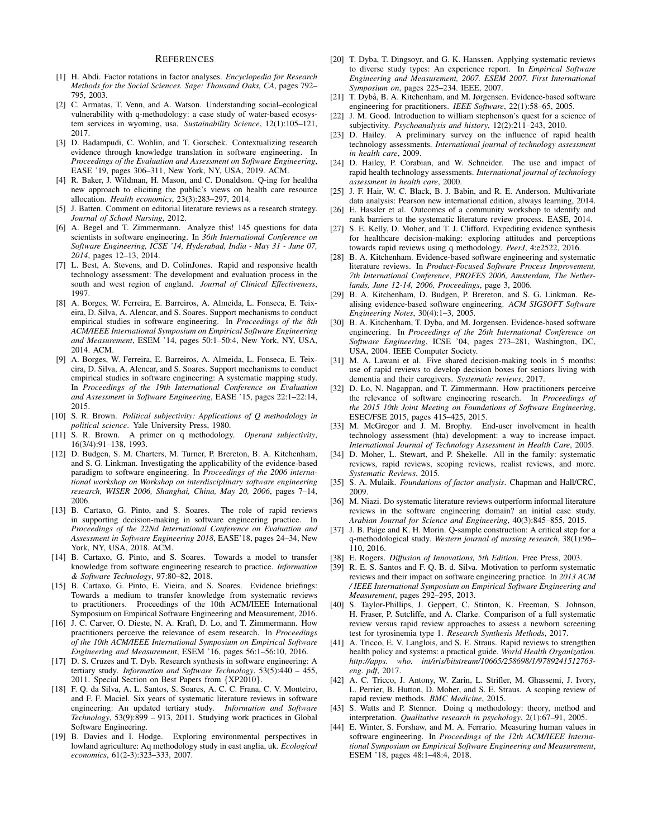#### **REFERENCES**

- <span id="page-10-34"></span>[1] H. Abdi. Factor rotations in factor analyses. *Encyclopedia for Research Methods for the Social Sciences. Sage: Thousand Oaks, CA*, pages 792– 795, 2003.
- <span id="page-10-32"></span>[2] C. Armatas, T. Venn, and A. Watson. Understanding social–ecological vulnerability with q-methodology: a case study of water-based ecosystem services in wyoming, usa. *Sustainability Science*, 12(1):105–121, 2017.
- <span id="page-10-40"></span>[3] D. Badampudi, C. Wohlin, and T. Gorschek. Contextualizing research evidence through knowledge translation in software engineering. In *Proceedings of the Evaluation and Assessment on Software Engineering*, EASE '19, pages 306–311, New York, NY, USA, 2019. ACM.
- <span id="page-10-36"></span>[4] R. Baker, J. Wildman, H. Mason, and C. Donaldson. Q-ing for healtha new approach to eliciting the public's views on health care resource allocation. *Health economics*, 23(3):283–297, 2014.
- <span id="page-10-21"></span>[5] J. Batten. Comment on editorial literature reviews as a research strategy. *Journal of School Nursing*, 2012.
- <span id="page-10-37"></span>[6] A. Begel and T. Zimmermann. Analyze this! 145 questions for data scientists in software engineering. In *36th International Conference on Software Engineering, ICSE '14, Hyderabad, India - May 31 - June 07, 2014*, pages 12–13, 2014.
- <span id="page-10-9"></span>[7] L. Best, A. Stevens, and D. ColinJones. Rapid and responsive health technology assessment: The development and evaluation process in the south and west region of england. *Journal of Clinical Effectiveness*, 1997.
- <span id="page-10-4"></span>[8] A. Borges, W. Ferreira, E. Barreiros, A. Almeida, L. Fonseca, E. Teixeira, D. Silva, A. Alencar, and S. Soares. Support mechanisms to conduct empirical studies in software engineering. In *Proceedings of the 8th ACM/IEEE International Symposium on Empirical Software Engineering and Measurement*, ESEM '14, pages 50:1–50:4, New York, NY, USA, 2014. ACM.
- <span id="page-10-5"></span>[9] A. Borges, W. Ferreira, E. Barreiros, A. Almeida, L. Fonseca, E. Teixeira, D. Silva, A. Alencar, and S. Soares. Support mechanisms to conduct empirical studies in software engineering: A systematic mapping study. In *Proceedings of the 19th International Conference on Evaluation and Assessment in Software Engineering*, EASE '15, pages 22:1–22:14, 2015.
- <span id="page-10-26"></span>[10] S. R. Brown. *Political subjectivity: Applications of Q methodology in political science*. Yale University Press, 1980.
- <span id="page-10-27"></span>[11] S. R. Brown. A primer on q methodology. *Operant subjectivity*, 16(3/4):91–138, 1993.
- <span id="page-10-0"></span>[12] D. Budgen, S. M. Charters, M. Turner, P. Brereton, B. A. Kitchenham, and S. G. Linkman. Investigating the applicability of the evidence-based paradigm to software engineering. In *Proceedings of the 2006 international workshop on Workshop on interdisciplinary software engineering research, WISER 2006, Shanghai, China, May 20, 2006*, pages 7–14, 2006.
- <span id="page-10-8"></span>[13] B. Cartaxo, G. Pinto, and S. Soares. The role of rapid reviews in supporting decision-making in software engineering practice. In *Proceedings of the 22Nd International Conference on Evaluation and Assessment in Software Engineering 2018*, EASE'18, pages 24–34, New York, NY, USA, 2018. ACM.
- <span id="page-10-25"></span>[14] B. Cartaxo, G. Pinto, and S. Soares. Towards a model to transfer knowledge from software engineering research to practice. *Information & Software Technology*, 97:80–82, 2018.
- <span id="page-10-17"></span>[15] B. Cartaxo, G. Pinto, E. Vieira, and S. Soares. Evidence briefings: Towards a medium to transfer knowledge from systematic reviews to practitioners. Proceedings of the 10th ACM/IEEE International Symposium on Empirical Software Engineering and Measurement, 2016.
- <span id="page-10-38"></span>[16] J. C. Carver, O. Dieste, N. A. Kraft, D. Lo, and T. Zimmermann. How practitioners perceive the relevance of esem research. In *Proceedings of the 10th ACM/IEEE International Symposium on Empirical Software Engineering and Measurement*, ESEM '16, pages 56:1–56:10, 2016.
- <span id="page-10-13"></span>[17] D. S. Cruzes and T. Dyb. Research synthesis in software engineering: A tertiary study. *Information and Software Technology*, 53(5):440 – 455, 2011. Special Section on Best Papers from {XP2010}.
- <span id="page-10-6"></span>[18] F. Q. da Silva, A. L. Santos, S. Soares, A. C. C. Frana, C. V. Monteiro, and F. F. Maciel. Six years of systematic literature reviews in software engineering: An updated tertiary study. *Information and Software Technology*, 53(9):899 – 913, 2011. Studying work practices in Global Software Engineering.
- <span id="page-10-42"></span>[19] B. Davies and I. Hodge. Exploring environmental perspectives in lowland agriculture: Aq methodology study in east anglia, uk. *Ecological economics*, 61(2-3):323–333, 2007.
- <span id="page-10-14"></span>[20] T. Dyba, T. Dingsoyr, and G. K. Hanssen. Applying systematic reviews to diverse study types: An experience report. In *Empirical Software Engineering and Measurement, 2007. ESEM 2007. First International Symposium on*, pages 225–234. IEEE, 2007.
- <span id="page-10-1"></span>[21] T. Dybå, B. A. Kitchenham, and M. Jørgensen. Evidence-based software engineering for practitioners. *IEEE Software*, 22(1):58–65, 2005.
- <span id="page-10-28"></span>[22] J. M. Good. Introduction to william stephenson's quest for a science of subjectivity. *Psychoanalysis and history*, 12(2):211–243, 2010.
- <span id="page-10-20"></span>[23] D. Hailey. A preliminary survey on the influence of rapid health technology assessments. *International journal of technology assessment in health care*, 2009.
- <span id="page-10-22"></span>[24] D. Hailey, P. Corabian, and W. Schneider. The use and impact of rapid health technology assessments. *International journal of technology assessment in health care*, 2000.
- <span id="page-10-33"></span>[25] J. F. Hair, W. C. Black, B. J. Babin, and R. E. Anderson. Multivariate data analysis: Pearson new international edition, always learning, 2014.
- <span id="page-10-15"></span>[26] E. Hassler et al. Outcomes of a community workshop to identify and rank barriers to the systematic literature review process. EASE, 2014.
- <span id="page-10-30"></span>[27] S. E. Kelly, D. Moher, and T. J. Clifford. Expediting evidence synthesis for healthcare decision-making: exploring attitudes and perceptions towards rapid reviews using q methodology. *PeerJ*, 4:e2522, 2016.
- <span id="page-10-2"></span>[28] B. A. Kitchenham. Evidence-based software engineering and systematic literature reviews. In *Product-Focused Software Process Improvement, 7th International Conference, PROFES 2006, Amsterdam, The Netherlands, June 12-14, 2006, Proceedings*, page 3, 2006.
- [29] B. A. Kitchenham, D. Budgen, P. Brereton, and S. G. Linkman. Realising evidence-based software engineering. *ACM SIGSOFT Software Engineering Notes*, 30(4):1–3, 2005.
- <span id="page-10-3"></span>[30] B. A. Kitchenham, T. Dyba, and M. Jorgensen. Evidence-based software engineering. In *Proceedings of the 26th International Conference on Software Engineering*, ICSE '04, pages 273–281, Washington, DC, USA, 2004. IEEE Computer Society.
- <span id="page-10-23"></span>[31] M. A. Lawani et al. Five shared decision-making tools in 5 months: use of rapid reviews to develop decision boxes for seniors living with dementia and their caregivers. *Systematic reviews*, 2017.
- <span id="page-10-39"></span>[32] D. Lo, N. Nagappan, and T. Zimmermann. How practitioners perceive the relevance of software engineering research. In *Proceedings of the 2015 10th Joint Meeting on Foundations of Software Engineering*, ESEC/FSE 2015, pages 415–425, 2015.
- <span id="page-10-19"></span>[33] M. McGregor and J. M. Brophy. End-user involvement in health technology assessment (hta) development: a way to increase impact. *International Journal of Technology Assessment in Health Care*, 2005.
- <span id="page-10-18"></span>[34] D. Moher, L. Stewart, and P. Shekelle. All in the family: systematic reviews, rapid reviews, scoping reviews, realist reviews, and more. *Systematic Reviews*, 2015.
- <span id="page-10-35"></span>[35] S. A. Mulaik. *Foundations of factor analysis*. Chapman and Hall/CRC, 2009.
- <span id="page-10-16"></span>[36] M. Niazi. Do systematic literature reviews outperform informal literature reviews in the software engineering domain? an initial case study. *Arabian Journal for Science and Engineering*, 40(3):845–855, 2015.
- <span id="page-10-31"></span>[37] J. B. Paige and K. H. Morin. Q-sample construction: A critical step for a q-methodological study. *Western journal of nursing research*, 38(1):96– 110, 2016.
- <span id="page-10-12"></span>[38] E. Rogers. *Diffusion of Innovations, 5th Edition*. Free Press, 2003.
- <span id="page-10-7"></span>[39] R. E. S. Santos and F. Q. B. d. Silva. Motivation to perform systematic reviews and their impact on software engineering practice. In *2013 ACM / IEEE International Symposium on Empirical Software Engineering and Measurement*, pages 292–295, 2013.
- <span id="page-10-24"></span>[40] S. Taylor-Phillips, J. Geppert, C. Stinton, K. Freeman, S. Johnson, H. Fraser, P. Sutcliffe, and A. Clarke. Comparison of a full systematic review versus rapid review approaches to assess a newborn screening test for tyrosinemia type 1. *Research Synthesis Methods*, 2017.
- <span id="page-10-10"></span>[41] A. Tricco, E. V. Langlois, and S. E. Straus. Rapid reviews to strengthen health policy and systems: a practical guide. *World Health Organization. http://apps. who. int/iris/bitstream/10665/258698/1/9789241512763 eng. pdf*, 2017.
- <span id="page-10-11"></span>[42] A. C. Tricco, J. Antony, W. Zarin, L. Strifler, M. Ghassemi, J. Ivory, L. Perrier, B. Hutton, D. Moher, and S. E. Straus. A scoping review of rapid review methods. *BMC Medicine*, 2015.
- <span id="page-10-29"></span>[43] S. Watts and P. Stenner. Doing q methodology: theory, method and interpretation. *Qualitative research in psychology*, 2(1):67–91, 2005.
- <span id="page-10-41"></span>[44] E. Winter, S. Forshaw, and M. A. Ferrario. Measuring human values in software engineering. In *Proceedings of the 12th ACM/IEEE International Symposium on Empirical Software Engineering and Measurement*, ESEM '18, pages 48:1–48:4, 2018.